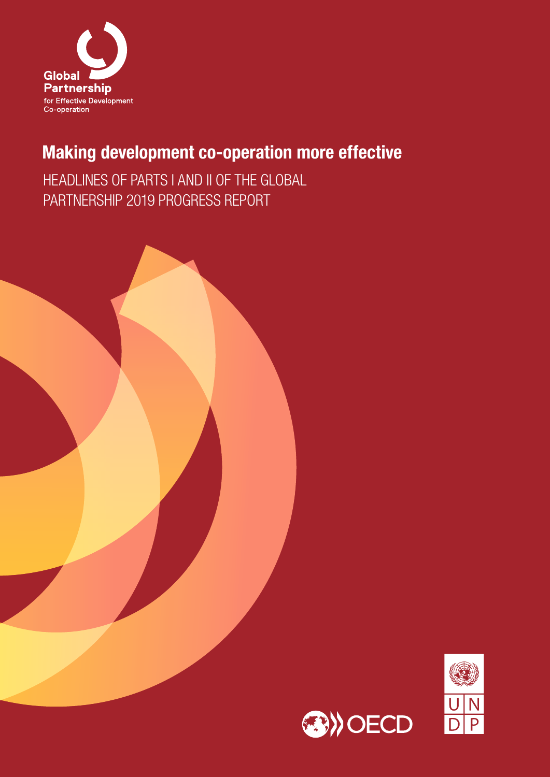

# Making development co-operation more effective

HEADLINES OF PARTS I AND II OF THE GLOBAL PARTNERSHIP 2019 PROGRESS REPORT



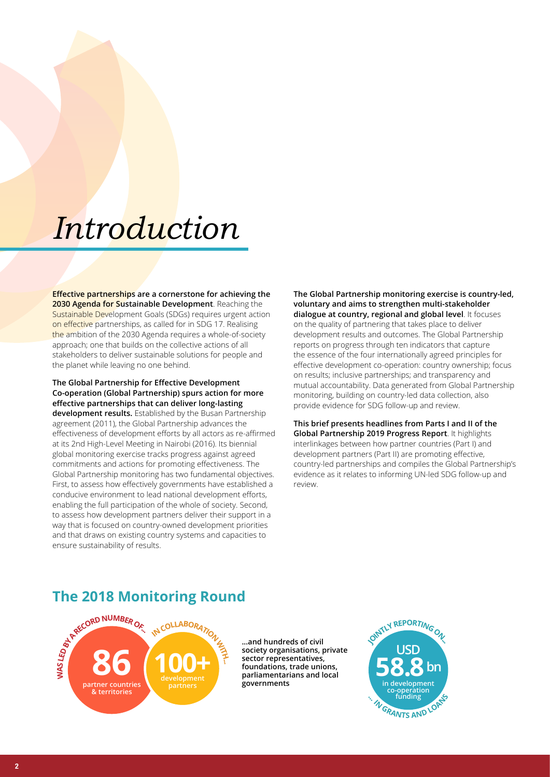# *Introduction*

**Effective partnerships are a cornerstone for achieving the 2030 Agenda for Sustainable Development**. Reaching the Sustainable Development Goals (SDGs) requires urgent action on effective partnerships, as called for in SDG 17. Realising the ambition of the 2030 Agenda requires a whole-of-society approach; one that builds on the collective actions of all stakeholders to deliver sustainable solutions for people and the planet while leaving no one behind.

**The Global Partnership for Effective Development Co-operation (Global Partnership) spurs action for more effective partnerships that can deliver long-lasting development results.** Established by the Busan Partnership agreement (2011), the Global Partnership advances the effectiveness of development efforts by all actors as re-affirmed at its 2nd High-Level Meeting in Nairobi (2016). Its biennial global monitoring exercise tracks progress against agreed commitments and actions for promoting effectiveness. The Global Partnership monitoring has two fundamental objectives. First, to assess how effectively governments have established a conducive environment to lead national development efforts, enabling the full participation of the whole of society. Second, to assess how development partners deliver their support in a way that is focused on country-owned development priorities and that draws on existing country systems and capacities to ensure sustainability of results.

**The Global Partnership monitoring exercise is country-led, voluntary and aims to strengthen multi-stakeholder dialogue at country, regional and global level**. It focuses on the quality of partnering that takes place to deliver development results and outcomes. The Global Partnership reports on progress through ten indicators that capture the essence of the four internationally agreed principles for effective development co-operation: country ownership; focus on results; inclusive partnerships; and transparency and mutual accountability. Data generated from Global Partnership monitoring, building on country-led data collection, also provide evidence for SDG follow-up and review.

**This brief presents headlines from Parts I and II of the Global Partnership 2019 Progress Report**. It highlights interlinkages between how partner countries (Part I) and development partners (Part II) are promoting effective, country-led partnerships and compiles the Global Partnership's evidence as it relates to informing UN-led SDG follow-up and review.

# **The 2018 Monitoring Round**



**...and hundreds of civil society organisations, private sector representatives, foundations, trade unions, parliamentarians and local governments**

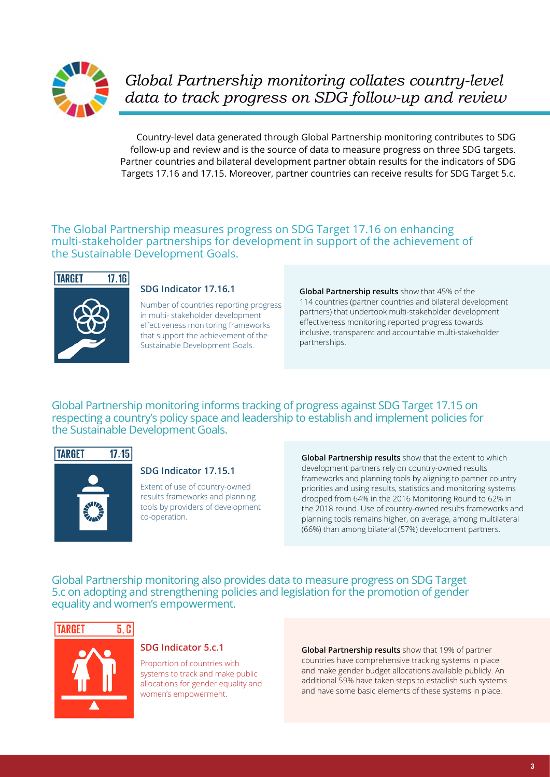

*Global Partnership monitoring collates country-level data to track progress on SDG follow-up and review*

Country-level data generated through Global Partnership monitoring contributes to SDG follow-up and review and is the source of data to measure progress on three SDG targets. Partner countries and bilateral development partner obtain results for the indicators of SDG Targets 17.16 and 17.15. Moreover, partner countries can receive results for SDG Target 5.c.

#### The Global Partnership measures progress on SDG Target 17.16 on enhancing multi-stakeholder partnerships for development in support of the achievement of the Sustainable Development Goals.



#### **SDG Indicator 17.16.1**

Number of countries reporting progress in multi- stakeholder development effectiveness monitoring frameworks that support the achievement of the Sustainable Development Goals.

**Global Partnership results** show that 45% of the 114 countries (partner countries and bilateral development partners) that undertook multi-stakeholder development effectiveness monitoring reported progress towards inclusive, transparent and accountable multi-stakeholder partnerships.

Global Partnership monitoring informs tracking of progress against SDG Target 17.15 on respecting a country's policy space and leadership to establish and implement policies for the Sustainable Development Goals.



#### **SDG Indicator 17.15.1**

Extent of use of country-owned results frameworks and planning tools by providers of development co-operation.

**Global Partnership results** show that the extent to which development partners rely on country-owned results frameworks and planning tools by aligning to partner country priorities and using results, statistics and monitoring systems dropped from 64% in the 2016 Monitoring Round to 62% in the 2018 round. Use of country-owned results frameworks and planning tools remains higher, on average, among multilateral (66%) than among bilateral (57%) development partners.

Global Partnership monitoring also provides data to measure progress on SDG Target 5.c on adopting and strengthening policies and legislation for the promotion of gender equality and women's empowerment.





#### **SDG Indicator 5.c.1**

Proportion of countries with systems to track and make public allocations for gender equality and women's empowerment.

**Global Partnership results** show that 19% of partner countries have comprehensive tracking systems in place and make gender budget allocations available publicly. An additional 59% have taken steps to establish such systems and have some basic elements of these systems in place.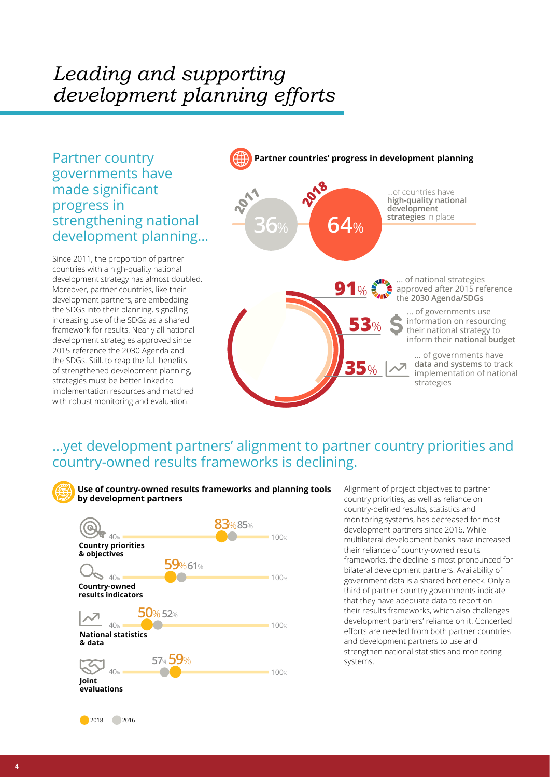# *Leading and supporting development planning efforts*

Partner country governments have made significant progress in strengthening national development planning…

Since 2011, the proportion of partner countries with a high-quality national development strategy has almost doubled. Moreover, partner countries, like their development partners, are embedding the SDGs into their planning, signalling increasing use of the SDGs as a shared framework for results. Nearly all national development strategies approved since 2015 reference the 2030 Agenda and the SDGs. Still, to reap the full benefits of strengthened development planning, strategies must be better linked to implementation resources and matched with robust monitoring and evaluation.



## …yet development partners' alignment to partner country priorities and country-owned results frameworks is declining.



Alignment of project objectives to partner country priorities, as well as reliance on country-defined results, statistics and monitoring systems, has decreased for most development partners since 2016. While multilateral development banks have increased their reliance of country-owned results frameworks, the decline is most pronounced for bilateral development partners. Availability of government data is a shared bottleneck. Only a third of partner country governments indicate that they have adequate data to report on their results frameworks, which also challenges development partners' reliance on it. Concerted efforts are needed from both partner countries and development partners to use and strengthen national statistics and monitoring systems.

2018 2016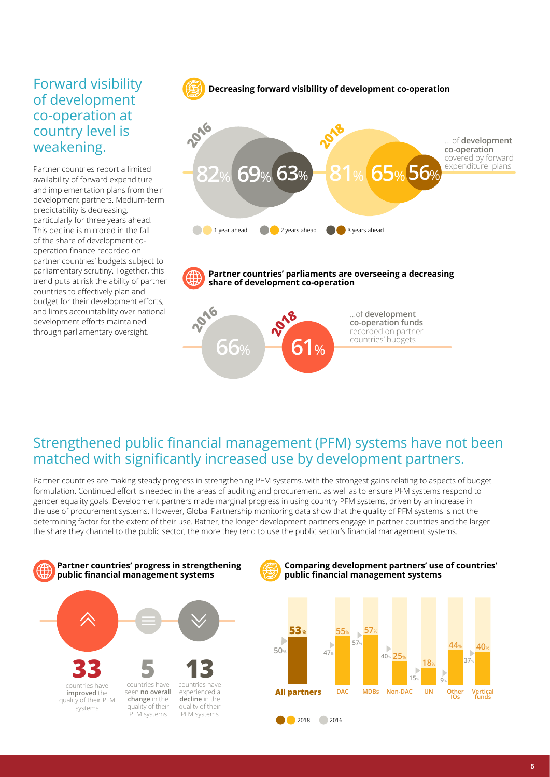# Forward visibility of development co-operation at country level is weakening.

Partner countries report a limited availability of forward expenditure and implementation plans from their development partners. Medium-term predictability is decreasing, particularly for three years ahead. This decline is mirrored in the fall of the share of development cooperation finance recorded on partner countries' budgets subject to parliamentary scrutiny. Together, this trend puts at risk the ability of partner countries to effectively plan and budget for their development efforts, and limits accountability over national development efforts maintained through parliamentary oversight.



**Partner countries' parliaments are overseeing a decreasing share of development co-operation**



# Strengthened public financial management (PFM) systems have not been matched with significantly increased use by development partners.

Partner countries are making steady progress in strengthening PFM systems, with the strongest gains relating to aspects of budget formulation. Continued effort is needed in the areas of auditing and procurement, as well as to ensure PFM systems respond to gender equality goals. Development partners made marginal progress in using country PFM systems, driven by an increase in the use of procurement systems. However, Global Partnership monitoring data show that the quality of PFM systems is not the determining factor for the extent of their use. Rather, the longer development partners engage in partner countries and the larger the share they channel to the public sector, the more they tend to use the public sector's financial management systems.



#### **Comparing development partners' use of countries' public financial management systems**

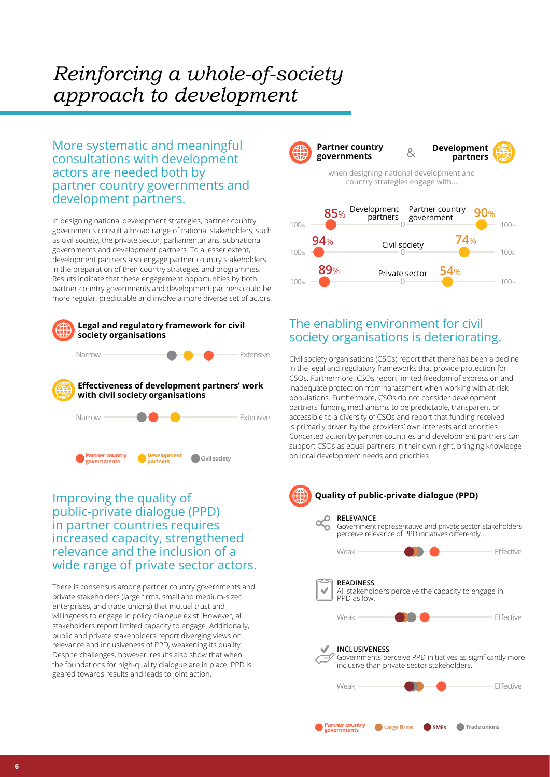# *Reinforcing a whole-of-society approach to development*

More systematic and meaningful consultations with development actors are needed both by partner country governments and development partners.

In designing national development strategies, partner country governments consult a broad range of national stakeholders, such as civil society, the private sector, parliamentarians, subnational governments and development partners. To a lesser extent, development partners also engage partner country stakeholders in the preparation of their country strategies and programmes. Results indicate that these engagement opportunities by both partner country governments and development partners could be more regular, predictable and involve a more diverse set of actors.



## Improving the quality of public-private dialogue (PPD) in partner countries requires increased capacity, strengthened relevance and the inclusion of a wide range of private sector actors.

There is consensus among partner country governments and private stakeholders (large firms, small and medium-sized enterprises, and trade unions) that mutual trust and willingness to engage in policy dialogue exist. However, all stakeholders report limited capacity to engage. Additionally, public and private stakeholders report diverging views on relevance and inclusiveness of PPD, weakening its quality. Despite challenges, however, results also show that when the foundations for high-quality dialogue are in place, PPD is geared towards results and leads to joint action.



## The enabling environment for civil society organisations is deteriorating.

Civil society organisations (CSOs) report that there has been a decline in the legal and regulatory frameworks that provide protection for CSOs. Furthermore, CSOs report limited freedom of expression and inadequate protection from harassment when working with at-risk populations. Furthermore, CSOs do not consider development partners' funding mechanisms to be predictable, transparent or accessible to a diversity of CSOs and report that funding received is primarily driven by the providers' own interests and priorities. Concerted action by partner countries and development partners can support CSOs as equal partners in their own right, bringing knowledge on local development needs and priorities.

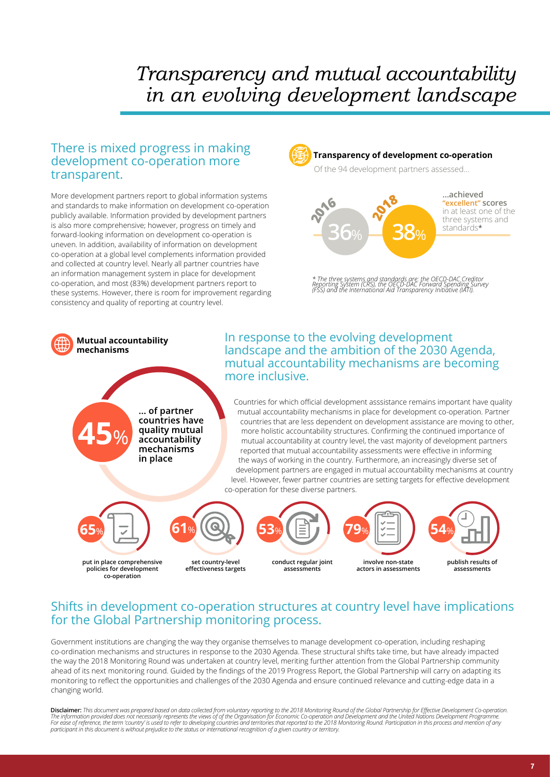# *Transparency and mutual accountability in an evolving development landscape*

### There is mixed progress in making development co-operation more transparent.

More development partners report to global information systems and standards to make information on development co-operation publicly available. Information provided by development partners is also more comprehensive; however, progress on timely and forward-looking information on development co-operation is uneven. In addition, availability of information on development co-operation at a global level complements information provided and collected at country level. Nearly all partner countries have an information management system in place for development co-operation, and most (83%) development partners report to these systems. However, there is room for improvement regarding consistency and quality of reporting at country level.



#### **Transparency of development co-operation**

Of the 94 development partners assessed…



*\* The three systems and standards are: the OECD-DAC Creditor Reporting System (CRS), the OECD-DAC Forward Spending Survey (FSS) and the International Aid Transparency Initiative (IATI).*



## Shifts in development co-operation structures at country level have implications for the Global Partnership monitoring process.

Government institutions are changing the way they organise themselves to manage development co-operation, including reshaping co-ordination mechanisms and structures in response to the 2030 Agenda. These structural shifts take time, but have already impacted the way the 2018 Monitoring Round was undertaken at country level, meriting further attention from the Global Partnership community ahead of its next monitoring round. Guided by the findings of the 2019 Progress Report, the Global Partnership will carry on adapting its monitoring to reflect the opportunities and challenges of the 2030 Agenda and ensure continued relevance and cutting-edge data in a changing world.

Disclaimer: This document was prepared based on data collected from voluntary reporting to the 2018 Monitoring Round of the Global Partnership for Effective Development Co-operation. The information provided does not necessarily represents the views of of the Organisation for Economic Co-operation and Development and the United Nations Development Programme.<br>For ease of reference, the term 'country' is *participant in this document is without prejudice to the status or international recognition of a given country or territory.*